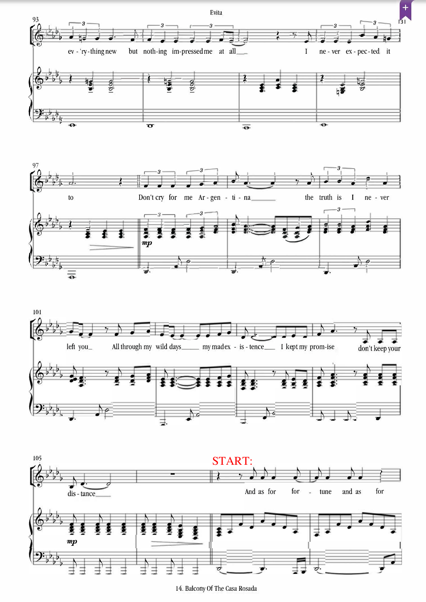

14. Balcony Of The Casa Rosada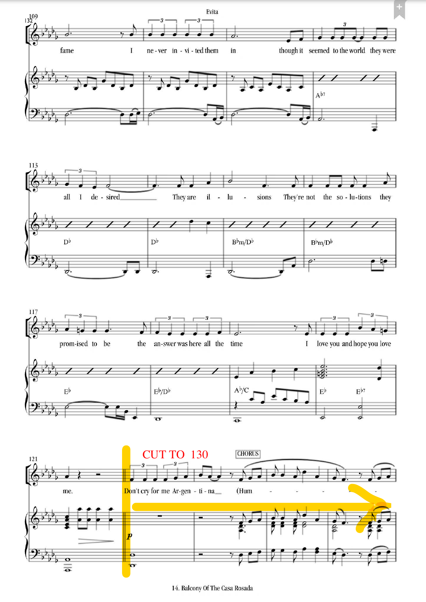

14. Balcony Of The Casa Rosada